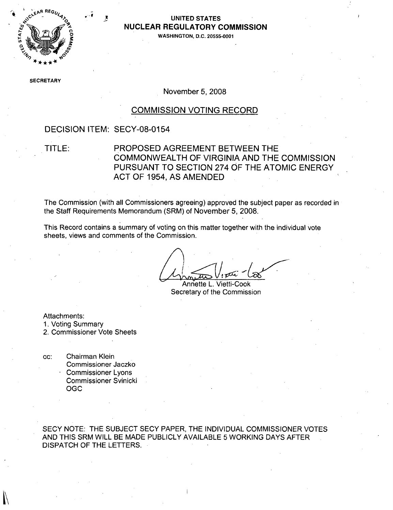

### **UNITED STATES NUCLEAR** REGULATORY **COMMISSION**

**0WASHINGTON, D.C. 20555-0001**

**SEC** RETARY

November 5, 2008

#### COMMISSION VOTING RECORD

#### DECISION ITEM: SECY-08-0154

### TITLE: PROPOSED AGREEMENT BETWEEN THE COMMONWEALTH OF VIRGINIA AND THE COMMISSION PURSUANT TO SECTION 274 OF THE ATOMIC ENERGY ACT OF 1954, AS AMENDED

The Commission (with all Commissioners agreeing) approved the subject paper as recorded in the Staff Requirements Memorandum (SRM) of November 5, 2008.

This Record contains a summary of voting on this matter together with the individual vote sheets, views and comments of the Commission.

Annette L. Vietti-Cook Secretary of the Commission

Attachments:

1. Voting Summary

2. Commissioner Vote Sheets

cc: Chairman Klein Commissioner Jaczko Commissioner Lyons Commissioner Svinicki OGC

SECY NOTE: THE SUBJECT SECY PAPER, THE INDIVIDUAL COMMISSIONER VOTES AND THIS SRM WILL BE MADE PUBLICLY AVAILABLE 5 WORKING DAYS AFTER DISPATCH OF THE LETTERS.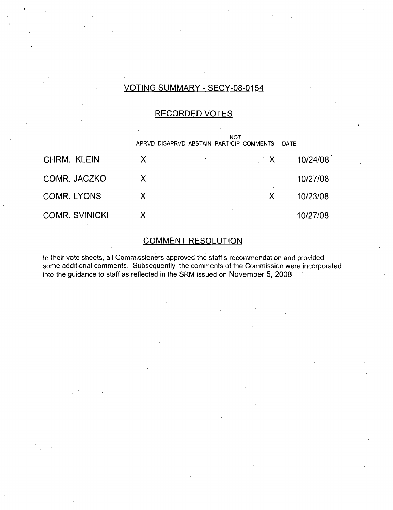## VOTING SUMMARY - SECY-08-0154

### RECORDED VOTES

|                       | <b>NOT</b><br>APRVD DISAPRVD ABSTAIN PARTICIP COMMENTS<br>DATE |   |          |
|-----------------------|----------------------------------------------------------------|---|----------|
| CHRM. KLEIN           | Х                                                              | X | 10/24/08 |
| COMR. JACZKO          | X                                                              |   | 10/27/08 |
| <b>COMR. LYONS</b>    |                                                                |   | 10/23/08 |
| <b>COMR. SVINICKI</b> |                                                                |   | 10/27/08 |

### COMMENT RESOLUTION

In their vote sheets, all Commissioners approved the staff's recommendation and provided some additional comments. Subsequently, the comments of the Commission were incorporated into the guidance to staff as reflected in the SRM issued on November 5, 2008.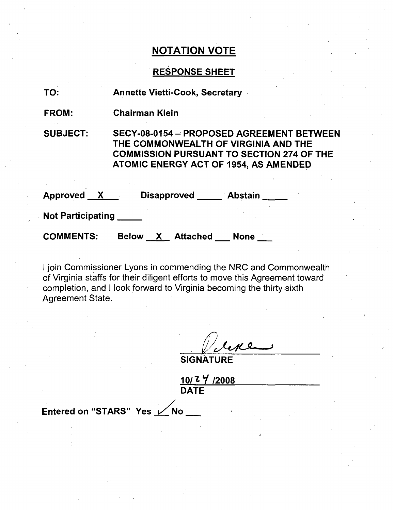## RESPONSE SHEET

| TO:                      | <b>Annette Vietti-Cook, Secretary</b>                                                                                                                                                 |  |  |
|--------------------------|---------------------------------------------------------------------------------------------------------------------------------------------------------------------------------------|--|--|
| <b>FROM:</b>             | <b>Chairman Klein</b>                                                                                                                                                                 |  |  |
| <b>SUBJECT:</b>          | SECY-08-0154 - PROPOSED AGREEMENT BETWEEN<br>THE COMMONWEALTH OF VIRGINIA AND THE<br><b>COMMISSION PURSUANT TO SECTION 274 OF THE</b><br><b>ATOMIC ENERGY ACT OF 1954, AS AMENDED</b> |  |  |
| Approved $X_{\cdots}$    | Disapproved Abstain                                                                                                                                                                   |  |  |
| <b>Not Participating</b> |                                                                                                                                                                                       |  |  |
| <b>COMMENTS:</b>         | <b>Below X Attached</b><br><b>None</b>                                                                                                                                                |  |  |

I join Commissioner Lyons in commending the NRC and Commonwealth of Virginia staffs for their diligent efforts to move this Agreement toward completion, and I look forward to Virginia becoming the thirty sixth Agreement State.

**SIGNATURE** 

**10/-** *71* /2008 DATE

Entered on "STARS" Yes **X**No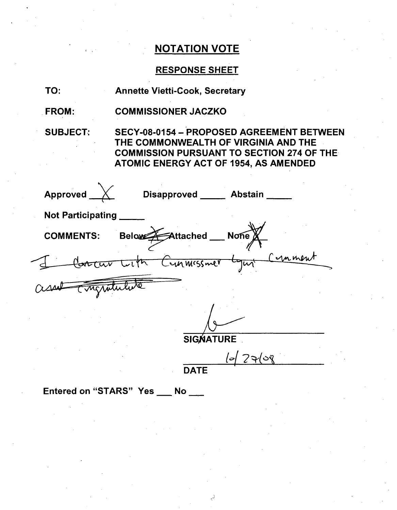# RESPONSE SHEET

| TO:                      | <b>Annette Vietti-Cook, Secretary</b>                                                                                                                                                 |  |  |  |
|--------------------------|---------------------------------------------------------------------------------------------------------------------------------------------------------------------------------------|--|--|--|
| <b>FROM:</b>             | <b>COMMISSIONER JACZKO</b>                                                                                                                                                            |  |  |  |
| <b>SUBJECT:</b>          | SECY-08-0154 - PROPOSED AGREEMENT BETWEEN<br>THE COMMONWEALTH OF VIRGINIA AND THE<br><b>COMMISSION PURSUANT TO SECTION 274 OF THE</b><br><b>ATOMIC ENERGY ACT OF 1954, AS AMENDED</b> |  |  |  |
| Approved __              | Disapproved _____ Abstain                                                                                                                                                             |  |  |  |
| <b>Not Participating</b> |                                                                                                                                                                                       |  |  |  |
| <b>COMMENTS:</b>         | Below Attached Mone                                                                                                                                                                   |  |  |  |
|                          | Concur with Cunnessmer Lyn Cunnent                                                                                                                                                    |  |  |  |
|                          |                                                                                                                                                                                       |  |  |  |
|                          |                                                                                                                                                                                       |  |  |  |
| <b>SIGNATURE</b>         |                                                                                                                                                                                       |  |  |  |
|                          | $ $ ন $ $ $7$ ম $ $ ১র্                                                                                                                                                               |  |  |  |

DATE

Entered on "STARS" Yes \_\_ No \_\_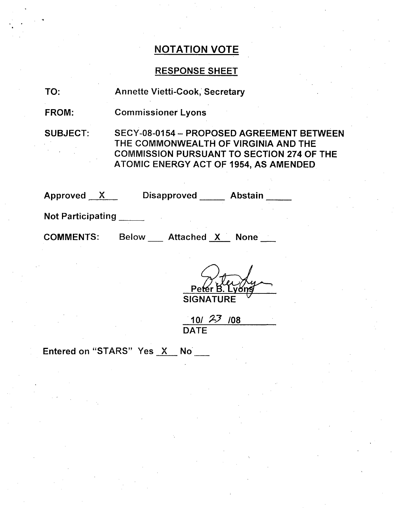### RESPONSE SHEET

TO: Annette Vietti-Cook, Secretary

FROM: Commissioner Lyons

SUBJECT: SECY-08-0154 - PROPOSED AGREEMENT BETWEEN THE COMMONWEALTH OF VIRGINIA AND THE COMMISSION PURSUANT TO SECTION 274 OF THE ATOMIC ENERGY ACT OF 1954, AS AMENDED

| Approved                 | Disapproved | Abstair |
|--------------------------|-------------|---------|
| <b>Not Participating</b> |             |         |

COMMENTS: Below Attached X None

**SIGNATURE**

 $10/23/08$ **DATE** 

Entered on "STARS" Yes X No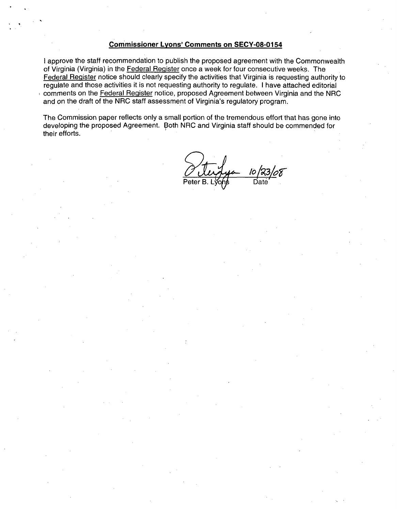#### Commissioner Lyons' Comments on **SECY-08-0154**

I approve the staff recommendation to publish the proposed agreement with the Commonwealth of Virginia (Virginia) in the Federal Register once a week for four consecutive weeks. The Federal Register notice should clearly specify the activities that Virginia is requesting authority to regulate and those activities it is not requesting authority to regulate. I have attached editorial comments on the Federal Reqister notice, proposed Agreement between Virginia and the NRC and on the draft of the NRC staff assessment of Virginia's regulatory program.

The Commission paper reflects only a small portion of the tremendous effort that has gone into developing the proposed Agreement. Both NRC and Virginia staff should be commended for their efforts.

 $\overline{10}$ Peter B. Lyons Date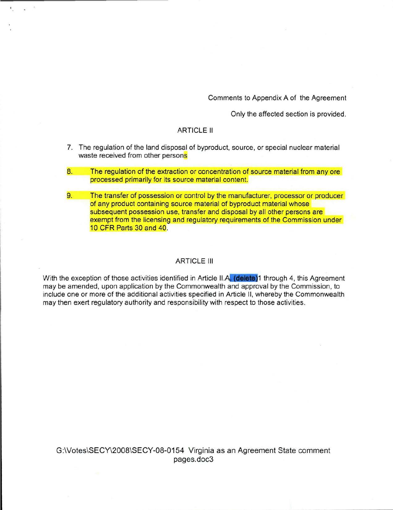Comments to Appendix A of the Agreement

Only the affected section is provided.

#### ARTICLE II

- 7. The regulation of the land disposal of byproduct, source, or special nuclear material waste received from other persons
- 8. The regulation of the extraction or concentration of source material from any ore processed primarily for its source material content.
- 9. The transfer of possession or control by the manufacturer, processor or producer of any product containing source material of byproduct material whose subsequent possession use, transfer and disposal by all other persons are exempt from the licensing and regulatory requirements of the Commission under 10 CFR Parts 30 and 40.

#### ARTICLE **III**

With the exception of those activities identified in Article II.A. (delete)1 through 4, this Agreement may be amended, upon application by the Commonwealth and approval by the Commission, to include one or more of the additional activities specified in Article II, whereby the Commonwealth may then exert regulatory authority and responsibility with respect to those activities.

G:\Votes\SECY\2008\SECY-08-0154 Virginia as an Agreement State comment pages.doc3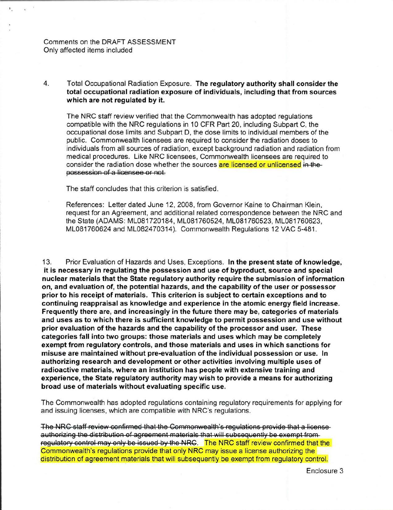Comments on the DRAFT ASSESSMENT Only affected items included

4. Total Occupational Radiation Exposure. The regulatory authority shall consider the total occupational radiation exposure of individuals, including that from sources which are not regulated by it.

The NRC staff review verified that the Commonwealth has adopted regulations compatible with the NRC regulations in 10 CFR Part 20, including Subpart C, the occupational dose limits and Subpart D, the dose limits to individual members of the public. Commonwealth licensees are required to consider the radiation doses to individuals from all sources of radiation, except background radiation and radiation from medical procedures. Like NRC licensees, Commonwealth licensees are required to consider the radiation dose whether the sources are licensed or unlicensed in thepossession of a licensee or not.

The staff concludes that this criterion is satisfied.

References: Letter dated June 12, 2008, from Governor Kaine to Chairman Klein, request for an Agreement, and additional related correspondence between the NRC and the State (ADAMS: ML081720184, ML081760524, ML081760523, ML081760623, ML081760624 and ML082470314). Commonwealth Regulations 12 VAC 5-481.

13. Prior Evaluation of Hazards and Uses, Exceptions. In the present state of knowledge, it is necessary in regulating the possession and use of byproduct, source and special nuclear materials that the State regulatory authority require the submission of information on, and evaluation of, the potential hazards, and the capability of the user or possessor prior to his receipt of materials. This criterion is subject to certain exceptions and to continuing reappraisal as knowledge and experience in the atomic energy field increase. Frequently there are, and increasingly in the future there may be, categories of materials and uses as to which there is sufficient knowledge to permit possession and use without prior evaluation of the hazards and the capability of the processor and user. These categories fall into two groups: those materials and uses which may be completely exempt from regulatory controls, and those materials and uses in which sanctions for misuse are maintained without pre-evaluation of the individual possession or use. In authorizing research and development or other activities involving multiple uses of radioactive materials, where an institution has people with extensive training and experience, the State regulatory authority may wish to provide a means for authorizing broad use of materials without evaluating specific use.

The Commonwealth has adopted regulations containing regulatory requirements for applying for and issuing licenses, which are compatible with NRC's regulations.

The NRC staff review confirmed that the Commonwealth's regulations provide that a licenseauthorizing the distribution of agreement materials that will subsequently be exempt fromregulatory control may only be issued by the NRC. The NRC staff review confirmed that the Commonwealth's regulations provide that only NRC may issue a license authorizing the distribution of agreement materials that will subsequently be exempt from regulatory control.

Enclosure 3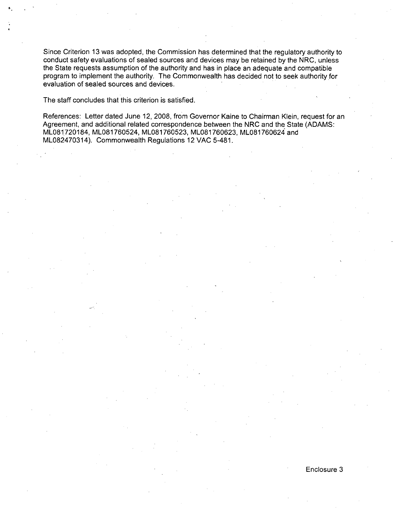Since Criterion 13 was adopted, the Commission has determined that the regulatory authority to conduct safety evaluations of sealed sources and devices may be retained by the NRC, unless the State requests assumption of the authority and has in place an adequate and compatible program to implement the authority. The Commonwealth has decided not to seek authority for evaluation of sealed sources and devices.

The staff concludes that this criterion is satisfied.

References: Letter dated June 12, 2008, from Governor Kaine to Chairman Klein, request for an Agreement, and additional related correspondence between the NRC and the State (ADAMS: ML081720184, ML081760524, ML081760523, ML081760623, ML081760624 and ML082470314). Commonwealth Regulations 12 VAC 5-481.

#### Enclosure 3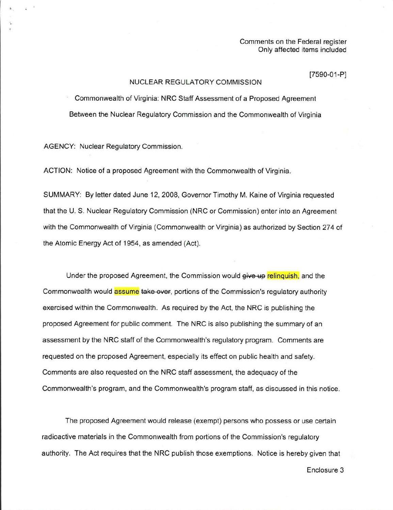Comments on the Federal register Only affected items included

#### [7590-01-P]

#### NUCLEAR REGULATORY COMMISSION

Commonwealth of Virginia: NRC Staff Assessment of a Proposed Agreement Between the Nuclear Regulatory Commission and the Commonwealth of Virginia

AGENCY: Nuclear Regulatory Commission.

ACTION: Notice of a proposed Agreement with the Commonwealth of Virginia.

SUMMARY: By letter dated June 12, 2008, Governor Timothy M. Kaine of Virginia requested that the U. S. Nuclear Regulatory Commission (NRC or Commission) enter into an Agreement with the Commonwealth of Virginia (Commonwealth or Virginia) as authorized by Section 274 of the Atomic Energy Act of 1954, as amended (Act).

Under the proposed Agreement, the Commission would give **up** relinquish, and the Commonwealth would **assume** take over, portions of the Commission's regulatory authority exercised within the Commonwealth. As required by the Act, the NRC is publishing the proposed Agreement for public comment. The NRC is also publishing the summary of an assessment by the NRC staff of the Commonwealth's regulatory program. Comments are requested on the proposed Agreement, especially its effect on public health and safety. Comments are also requested on the NRC staff assessment, the adequacy of the Commonwealth's program, and the Commonwealth's program staff, as discussed in this notice.

The proposed Agreement would release (exempt) persons who possess or use certain radioactive materials in the Commonwealth from portions of the Commission's regulatory authority. The Act requires that the NRC publish those exemptions. Notice is hereby given that

Enclosure 3